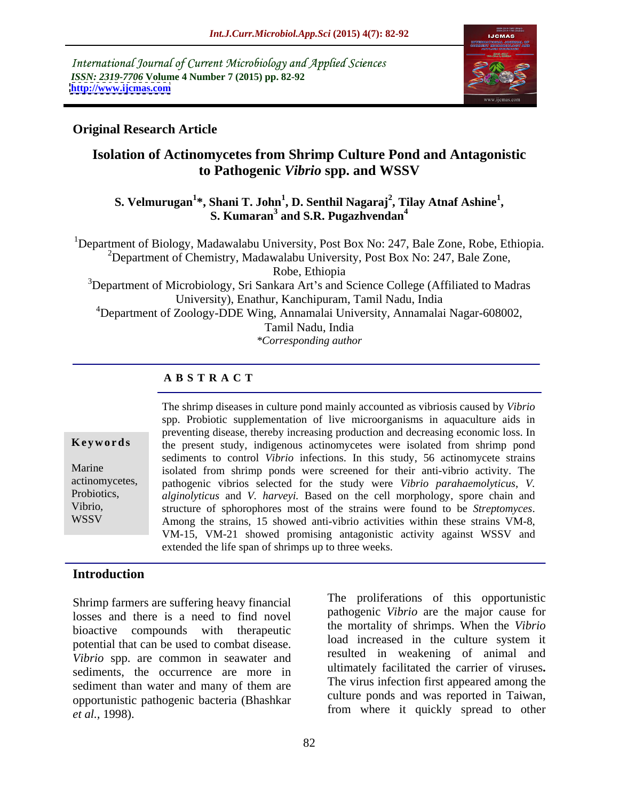International Journal of Current Microbiology and Applied Sciences *ISSN: 2319-7706* **Volume 4 Number 7 (2015) pp. 82-92 <http://www.ijcmas.com>**



## **Original Research Article**

# **Isolation of Actinomycetes from Shrimp Culture Pond and Antagonistic to Pathogenic** *Vibrio* **spp. and WSSV**

### **S. Velmurugan<sup>1</sup> \*, Shani T. John<sup>1</sup> , D. Senthil Nagaraj<sup>2</sup> , S. Kumaran<sup>3</sup> , Tilay Atnaf Ashine<sup>1</sup> and S.R. Pugazhvendan<sup>4</sup>**

<sup>1</sup>Department of Biology, Madawalabu University, Post Box No: 247, Bale Zone, Robe, Ethiopia. <sup>2</sup>Department of Chemistry, Madawalabu University, Post Box No: 247, Bale Zone, Robe, Ethiopia <sup>3</sup>Department of Microbiology, Sri Sankara Art's and Science College (Affiliated to Madras University), Enathur, Kanchipuram, Tamil Nadu, India <sup>4</sup>Department of Zoology-DDE Wing, Annamalai University, Annamalai Nagar-608002, Tamil Nadu, India

*\*Corresponding author*

# **A B S T R A C T**

WSSV

The shrimp diseases in culture pond mainly accounted as vibriosis caused by *Vibrio*  spp. Probiotic supplementation of live microorganisms in aquaculture aids in preventing disease, thereby increasing production and decreasing economic loss. In **Keywords** the present study, indigenous actinomycetes were isolated from shrimp pond sediments to control *Vibrio* infections. In this study, 56 actinomycete strains Marine isolated from shrimp ponds were screened for their anti-vibrio activity. The pathogenic vibrios selected for the study were *Vibrio parahaemolyticus*, *V.*  actinomycetes, *alginolyticus* and *V. harveyi.* Based on the cell morphology, spore chain and Probiotics, Among the strains, 15 showed anti-vibrio activities within these strains VM-8, VM-15, VM-21 showed promising antagonistic activity against WSSV and extended the life span of shrimps up to three weeks. Vibrio, structure of sphorophores most of the strains were found to be *Streptomyces*.

## **Introduction**

Shrimp farmers are suffering heavy financial losses and there is a need to find novel bioactive compounds with therapeutic potential that can be used to combat disease. *Vibrio* spp. are common in seawater and sediments, the occurrence are more in sediment than water and many of them are opportunistic pathogenic bacteria (Bhashkar *et al.,* 1998). from where it quickly spread to other

The proliferations of this opportunistic pathogenic *Vibrio* are the major cause for the mortality of shrimps. When the *Vibrio* load increased in the culture system it resulted in weakening of animal and ultimately facilitated the carrier of viruses**.** The virus infection first appeared among the culture ponds and was reported in Taiwan,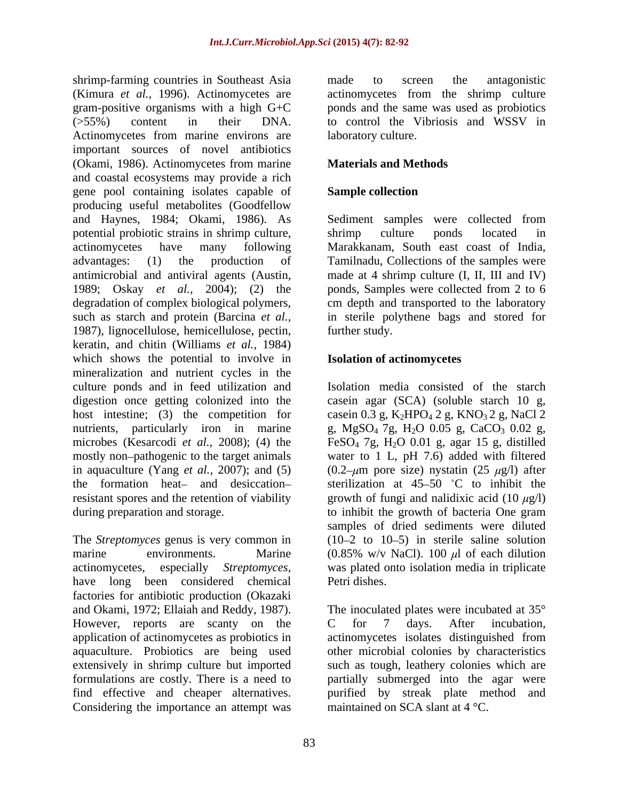shrimp-farming countries in Southeast Asia and to screen the antagonistic (Kimura *et al.,* 1996). Actinomycetes are actinomycetes from the shrimp culture gram-positive organisms with a high G+C ponds and the same was used as probiotics (>55%) content in their DNA. to control the Vibriosis and WSSV in Actinomycetes from marine environs are important sources of novel antibiotics (Okami, 1986). Actinomycetes from marine and coastal ecosystems may provide a rich gene pool containing isolates capable of producing useful metabolites (Goodfellow and Haynes, 1984; Okami, 1986). As Sediment samples were collected from potential probiotic strains in shrimp culture, shrimp culture ponds located in actinomycetes have many following Marakkanam, South east coast of India, advantages: (1) the production of Tamilnadu, Collections of the samples were antimicrobial and antiviral agents (Austin, made at 4 shrimp culture (I, II, III and IV) 1989; Oskay *et al.,* 2004); (2) the ponds, Samples were collected from 2 to 6 degradation of complex biological polymers, cm depth and transported to the laboratory such as starch and protein (Barcina *et al.,* in sterile polythene bags and stored for 1987), lignocellulose, hemicellulose, pectin, keratin, and chitin (Williams *et al.,* 1984) which shows the potential to involve in mineralization and nutrient cycles in the culture ponds and in feed utilization and digestion once getting colonized into the casein agar (SCA) (soluble starch 10 g, host intestine; (3) the competition for case in 0.3 g,  $K_2HPO_4$  2 g,  $KNO_3$  2 g, NaCl 2 nutrients, particularly iron in marine g,  $MgSO_4$  7g,  $H_2O$  0.05 g,  $CaCO_3$  0.02 g, microbes (Kesarcodi *et al.*, 2008); (4) the FeSO<sub>4</sub> 7g, H<sub>2</sub>O 0.01 g, agar 15 g, distilled mostly non-pathogenic to the target animals water to 1 L, pH 7.6) added with filtered in aquaculture (Yang *et al.*, 2007); and (5)  $(0.2-\mu m)$  pore size) nystatin (25  $\mu$ g/l) after the formation heat- and desiccation-<br>sterilization at  $45-50$  °C to inhibit the resistant spores and the retention of viability growth of fungi and nalidixic acid  $(10 \mu g/l)$ during preparation and storage. to inhibit the growth of bacteria One gram

The *Streptomyces* genus is very common in marine environments. Marine  $(0.85\% \text{ w/v NaCl})$ . 100  $\mu$ l of each dilution actinomycetes, especially *Streptomyces*, was plated onto isolation media in triplicate have long been considered chemical Petri dishes. factories for antibiotic production (Okazaki and Okami, 1972; Ellaiah and Reddy, 1987). The inoculated plates were incubated at 35° However, reports are scanty on the C for 7 days. After incubation, application of actinomycetes as probiotics in actinomycetes isolates distinguished from aquaculture. Probiotics are being used other microbial colonies by characteristics extensively in shrimp culture but imported such as tough, leathery colonies which are formulations are costly. There is a need to partially submerged into the agar were find effective and cheaper alternatives. purified by streak plate method and Considering the importance an attempt was

made to screen the antagonistic laboratory culture.

## **Materials and Methods**

## **Sample collection**

shrimp culture ponds located in further study.

## **Isolation of actinomycetes**

Isolation media consisted of the starch samples of dried sediments were diluted  $(10-2$  to  $10-5)$  in sterile saline solution was plated onto isolation media in triplicate Petri dishes.

C for 7 days. After incubation, actinomycetes isolates distinguished from maintained on SCA slant at 4 °C.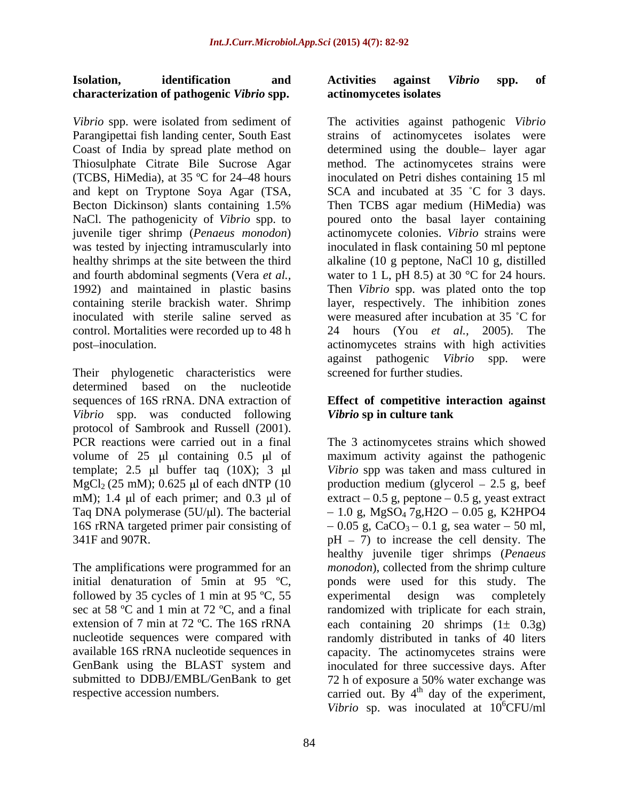# **characterization of pathogenic** *Vibrio* **spp.**

*Vibrio* spp. were isolated from sediment of The activities against pathogenic *Vibrio*  Parangipettai fish landing center, South East strains of actinomycetes isolates were Coast of India by spread plate method on Thiosulphate Citrate Bile Sucrose Agar method. The actinomycetes strains were (TCBS, HiMedia), at 35 ºC for 24 48 hours inoculated on Petri dishes containing 15 ml and kept on Tryptone Soya Agar (TSA, SCA and incubated at 35 °C for 3 days. Becton Dickinson) slants containing 1.5% Then TCBS agar medium (HiMedia) was NaCl. The pathogenicity of *Vibrio* spp. to poured onto the basal layer containing juvenile tiger shrimp (*Penaeus monodon*) was tested by injecting intramuscularly into inoculated in flask containing 50 ml peptone healthy shrimps at the site between the third alkaline (10 g peptone, NaCl 10 g, distilled and fourth abdominal segments (Vera *et al.*, water to 1 L, pH 8.5) at 30 °C for 24 hours. 1992) and maintained in plastic basins Then *Vibrio* spp. was plated onto the top containing sterile brackish water. Shrimp layer, respectively. The inhibition zones inoculated with sterile saline served as were measured after incubation at 35 C for control. Mortalities were recorded up to 48 h 24 hours (You *et al.,* 2005). The

Their phylogenetic characteristics were determined based on the nucleotide sequences of 16S rRNA. DNA extraction of **Effect of competitive interaction against** *Vibrio* spp. was conducted following *Vibrio* sp in culture tank protocol of Sambrook and Russell (2001). PCR reactions were carried out in a final template; 2.5  $\mu$ l buffer taq (10X); 3  $\mu$ l

The amplifications were programmed for an initial denaturation of 5min at 95 ºC, followed by 35 cycles of 1 min at 95 °C, 55 experimental design was completely sec at 58 ºC and 1 min at 72 ºC, and a final GenBank using the BLAST system and

### **Isolation, identification and Activities against** *Vibrio* **spp. of actinomycetes isolates**

post–inoculation. The intervals of the actinomycetes strains with high activities determined using the double- layer agar actinomycete colonies. *Vibrio* strains were against pathogenic *Vibrio* spp. were screened for further studies.

# *Vibrio* **sp in culture tank**

volume of  $25 \mu l$  containing  $0.5 \mu l$  of maximum activity against the pathogenic  $MgCl_2$  (25 mM); 0.625 µl of each dNTP (10 production medium (glycerol  $-$  2.5 g, beef mM); 1.4  $\mu$ l of each primer; and 0.3  $\mu$ l of extract  $-0.5$  g, peptone  $-0.5$  g, yeast extract Taq DNA polymerase  $(5U/\mu l)$ . The bacterial  $-1.0$  g, MgSO<sub>4</sub> 7g,H2O  $-0.05$  g, K2HPO4 16S rRNA targeted primer pair consisting of  $-0.05$  g, CaCO<sub>3</sub> – 0.1 g, sea water – 50 ml,  $341F$  and  $907R$ .  $pH - 7$  to increase the cell density. The extension of 7 min at 72 °C. The 16S rRNA each containing 20 shrimps  $(1\pm 0.3g)$ nucleotide sequences were compared with randomly distributed in tanks of 40 liters available 16S rRNA nucleotide sequences in capacity. The actinomycetes strains were submitted to DDBJ/EMBL/GenBank to get 72 h of exposure a 50% water exchange was respective accession numbers.  $\qquad \qquad \text{carried out. By } 4^{\text{th}} \text{ day of the experiment,}$ The 3 actinomycetes strains which showed *Vibrio* spp was taken and mass cultured in healthy juvenile tiger shrimps (*Penaeus monodon*), collected from the shrimp culture ponds were used for this study. The experimental design was completely randomized with triplicate for each strain, inoculated for three successive days. After Vibrio sp. was inoculated at  $10^6$ CFU/ml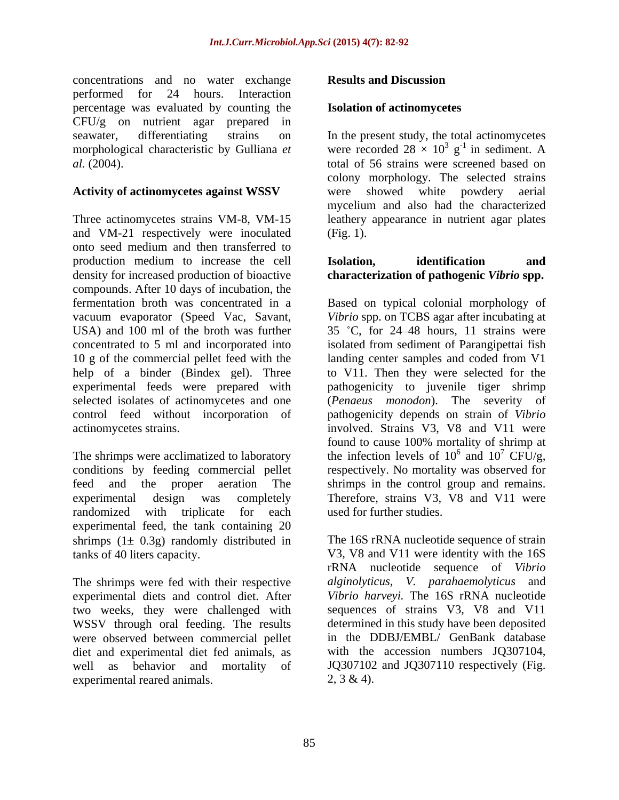concentrations and no water exchange performed for 24 hours. Interaction percentage was evaluated by counting the CFU/g on nutrient agar prepared in

Three actinomycetes strains VM-8, VM-15 leathery appearance in nutrient agar plates and VM-21 respectively were inoculated onto seed medium and then transferred to production medium to increase the cell **Isolation. identification** and density for increased production of bioactive compounds. After 10 days of incubation, the concentrated to 5 ml and incorporated into help of a binder (Bindex gel). Three experimental feeds were prepared with

randomized with triplicate for each used for further studies. experimental feed, the tank containing 20 shrimps  $(1 \pm 0.3g)$  randomly distributed in

The shrimps were fed with their respective experimental diets and control diet. After two weeks, they were challenged with WSSV through oral feeding. The results were observed between commercial pellet diet and experimental diet fed animals, as well as behavior and mortality of JQ307102 and JQ307110 respectively (Fig. experimental reared animals.  $2, 3 \& 4$ .

## **Results and Discussion**

## **Isolation of actinomycetes**

seawater, differentiating strains on In the present study, the total actinomycetes morphological characteristic by Gulliana *et* were recorded  $28 \times 10^3$  g<sup>-1</sup> in sediment. A *al.* (2004). total of 56 strains were screened based on **Activity of actinomycetes against WSSV** were showed white powdery aerial  $g^{-1}$  in sediment. A  $^{-1}$  in sediment. A colony morphology. The selected strains were showed white powdery aerial mycelium and also had the characterized (Fig. 1).

## **Isolation, identification and characterization of pathogenic** *Vibrio* **spp.**

fermentation broth was concentrated in a Based on typical colonial morphology of vacuum evaporator (Speed Vac, Savant, *Vibrio* spp. on TCBS agar after incubating at USA) and 100 ml of the broth was further  $35 °C$ , for 24–48 hours, 11 strains were 10 g of the commercial pellet feed with the landing center samples and coded from V1 selected isolates of actinomycetes and one (*Penaeus monodon*). The severity of control feed without incorporation of pathogenicity depends on strain of *Vibrio*  actinomycetes strains. involved. Strains V3, V8 and V11 were The shrimps were acclimatized to laboratory the infection levels of  $10^6$  and  $10^7$  CFU/g, conditions by feeding commercial pellet respectively. No mortality was observed for feed and the proper aeration The shrimps in the control group and remains. experimental design was completely Therefore, strains V3, V8 and V11 were isolated from sediment of Parangipettai fish to V11. Then they were selected for the pathogenicity to juvenile tiger shrimp found to cause 100% mortality of shrimp at  $^6$  and  $10^7$  CEII/ $\alpha$ and  $10^7$  CFU/g,  $^7$  CFU/g, used for further studies.

tanks of 40 liters capacity. V3, V8 and V11 were identity with the 16S The 16S rRNA nucleotide sequence of strain rRNA nucleotide sequence of *Vibrio alginolyticus, V. parahaemolyticus* and *Vibrio harveyi.* The 16S rRNA nucleotide sequences of strains V3, V8 and V11 determined in this study have been deposited in the DDBJ/EMBL/ GenBank database with the accession numbers JO307104.  $2, 3 \& 4$ ).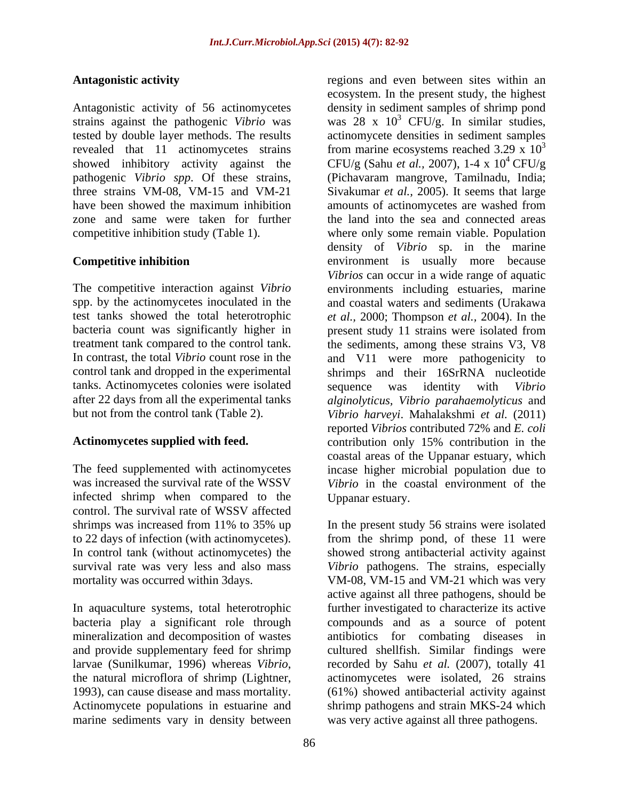showed inhibitory activity against the

tanks. Actinomycetes colonies were isolated sequence was identity with Vibrio

infected shrimp when compared to the control. The survival rate of WSSV affected

In aquaculture systems, total heterotrophic

Antagonistic activity **regions** and even between sites within an Antagonistic activity of 56 actinomycetes density in sediment samples of shrimp pond strains against the pathogenic *Vibrio* was was 28 x 10 <sup>3</sup> CFU/g. In similar studies, tested by double layer methods. The results actinomycete densities in sediment samples revealed that 11 actinomycetes strains from marine ecosystems reached 3.29 x  $10<sup>3</sup>$ pathogenic *Vibrio spp*. Of these strains, (Pichavaram mangrove, Tamilnadu, India; three strains VM-08, VM-15 and VM-21 Sivakumar *et al.,* 2005). It seems that large have been showed the maximum inhibition amounts of actinomycetes are washed from zone and same were taken for further the land into the sea and connected areas competitive inhibition study (Table 1). where only some remain viable. Population **Competitive inhibition** environment is usually more because The competitive interaction against *Vibrio* environments including estuaries, marine spp. by the actinomycetes inoculated in the and coastal waters and sediments (Urakawa test tanks showed the total heterotrophic *et al.,* 2000; Thompson *et al.,* 2004). In the bacteria count was significantly higher in present study 11 strains were isolated from treatment tank compared to the control tank. the sediments, among these strains V3, V8 In contrast, the total *Vibrio* count rose in the and V11 were more pathogenicity to control tank and dropped in the experimental shrimps and their 16SrRNA nucleotide after 22 days from all the experimental tanks *alginolyticus, Vibrio parahaemolyticus* and but not from the control tank (Table 2). *Vibrio harveyi*. Mahalakshmi *et al.* (2011) Actinomycetes supplied with feed. The contribution only 15% contribution in the The feed supplemented with actinomycetes incase higher microbial population due to was increased the survival rate of the WSSV *Vibrio* in the coastal environment of the ecosystem. In the present study, the highest 3 CFU/g (Sahu *et al.,* 2007), 1-4 x 10  $4$  CFU/g density of *Vibrio* sp. in the marine *Vibrios* can occur in a wide range of aquatic sequence was identity with *Vibrio*  reported *Vibrios* contributed 72% and *E. coli* coastal areas of the Uppanar estuary, which Uppanar estuary.

shrimps was increased from 11% to 35% up In the present study 56 strains were isolated to 22 days of infection (with actinomycetes). from the shrimp pond, of these 11 were In control tank (without actinomycetes) the showed strong antibacterial activity against survival rate was very less and also mass *Vibrio* pathogens. The strains, especially mortality was occurred within 3days. VM-08, VM-15 and VM-21 which was very bacteria play a significant role through compounds and as a source of potent mineralization and decomposition of wastes antibiotics for combating diseases in and provide supplementary feed for shrimp cultured shellfish. Similar findings were larvae (Sunilkumar, 1996) whereas *Vibrio*, recorded by Sahu *et al.* (2007), totally 41 the natural microflora of shrimp (Lightner, actinomycetes were isolated, 26 strains 1993), can cause disease and mass mortality. (61%) showed antibacterial activity against Actinomycete populations in estuarine and shrimp pathogens and strain MKS-24 which marine sediments vary in density between was very active against all three pathogens. In the present study 56 strains were isolated active against all three pathogens, should be further investigated to characterize its active recorded by Sahu *et al.* (2007), totally 41 actinomycetes were isolated, 26 strains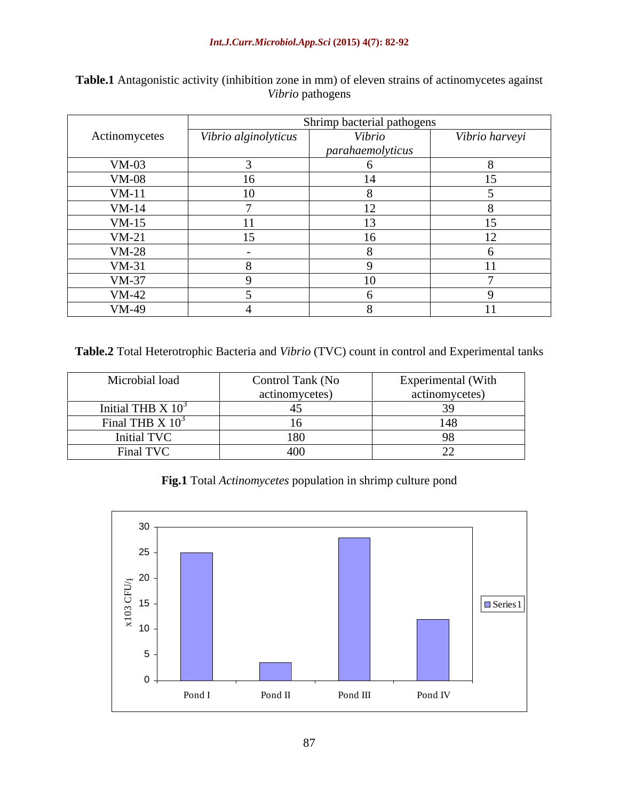|               | Shrimp bacterial pathogens |                  |                |
|---------------|----------------------------|------------------|----------------|
| Actinomycetes | Vibrio alginolyticus       | Vibrio           | Vibrio harveyi |
|               |                            | parahaemolyticus |                |
| $VM-03$       |                            |                  |                |
| <b>VM-08</b>  |                            | 14               |                |
| $VM-11$       | 10                         |                  |                |
| $VM-14$       |                            |                  |                |
| $VM-15$       |                            |                  |                |
| $VM-21$       | 15                         | 16               |                |
| $VM-28$       |                            |                  |                |
| $VM-31$       |                            |                  |                |
| $VM-37$       |                            | 10               |                |
| $VM-42$       |                            |                  |                |
| VM-49         |                            |                  |                |

Table.1 Antagonistic activity (inhibition zone in mm) of eleven strains of actinomycetes against Vibrio pathogens *Vibrio* pathogens

**Table.2** Total Heterotrophic Bacteria and *Vibrio* (TVC) count in control and Experimental tanks

| Microbial load        | Control Tank (No | Experimental (With |
|-----------------------|------------------|--------------------|
|                       | actinomycetes)   | actinomycetes)     |
| Initial THB $X$ $103$ |                  |                    |
| Final THB $X$ $10^3$  |                  |                    |
| Initial TVC           |                  |                    |
| Final TVC             | 7vv              |                    |

**Fig.1** Total *Actinomycetes* population in shrimp culture pond

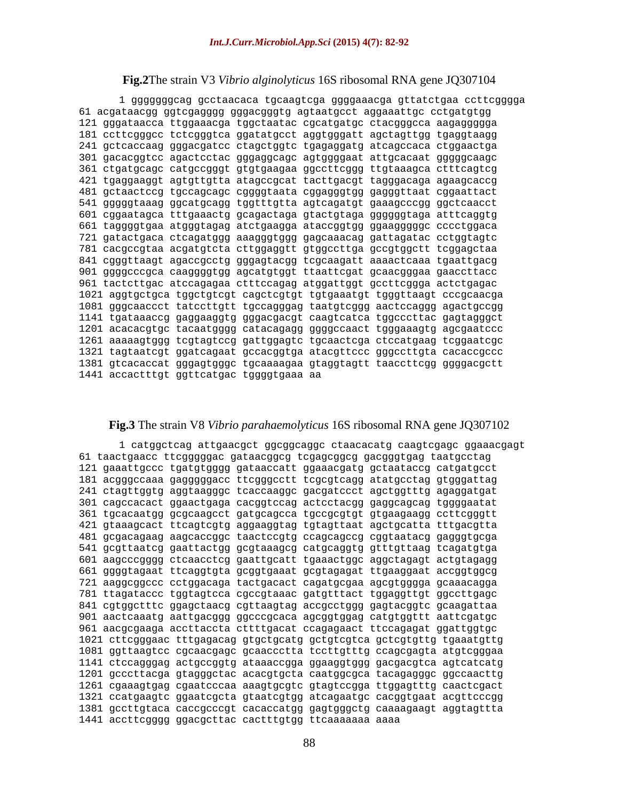## **Fig.2**The strain V3 *Vibrio alginolyticus* 16S ribosomal RNA gene JQ307104

1 gggggggcag gcctaacaca tgcaagtcga ggggaaacga gttatctgaa ccttcgggga 61 acgataacgg ggtcgagggg gggacgggtg agtaatgcct aggaaattgc cctgatgtgg 121 gggataacca ttggaaacga tggctaatac cgcatgatgc ctacgggcca aagaggggga 181 ccttcgggcc tctcgggtca ggatatgcct aggtgggatt agctagttgg tgaggtaagg 241 gctcaccaag gggacgatcc ctagctggtc tgagaggatg atcagccaca ctggaactga 301 gacacggtcc agactcctac gggaggcagc agtggggaat attgcacaat gggggcaagc 361 ctgatgcagc catgccgggt gtgtgaagaa ggccttcggg ttgtaaagca ctttcagtcg 421 tgaggaaggt agtgttgtta atagccgcat tacttgacgt tagggacaga agaagcaccg 481 gctaactccg tgccagcagc cggggtaata cggagggtgg gagggttaat cggaattact 541 gggggtaaag ggcatgcagg tggtttgtta agtcagatgt gaaagcccgg ggctcaacct 601 cggaatagca tttgaaactg gcagactaga gtactgtaga ggggggtaga atttcaggtg 661 taggggtgaa atgggtagag atctgaagga ataccggtgg ggaagggggc cccctggaca 721 gatactgaca ctcagatggg aaagggtggg gagcaaacag gattagatac cctggtagtc 781 cacgccgtaa acgatgtcta cttggaggtt gtggccttga gccgtggctt tcggagctaa 841 cgggttaagt agaccgcctg gggagtacgg tcgcaagatt aaaactcaaa tgaattgacg 901 ggggcccgca caaggggtgg agcatgtggt ttaattcgat gcaacgggaa gaaccttacc 961 tactcttgac atccagagaa ctttccagag atggattggt gccttcggga actctgagac 1021 aggtgctgca tggctgtcgt cagctcgtgt tgtgaaatgt tgggttaagt cccgcaacga 1081 gggcaaccct tatccttgtt tgccagggag taatgtcggg aactccaggg agactgccgg 1141 tgataaaccg gaggaaggtg gggacgacgt caagtcatca tggcccttac gagtagggct 1201 acacacgtgc tacaatgggg catacagagg ggggccaact tgggaaagtg agcgaatccc 1261 aaaaagtggg tcgtagtccg gattggagtc tgcaactcga ctccatgaag tcggaatcgc 1321 tagtaatcgt ggatcagaat gccacggtga atacgttccc gggccttgta cacaccgccc 1381 gtcacaccat gggagtgggc tgcaaaagaa gtaggtagtt taaccttcgg ggggacgctt 1441 accactttgt ggttcatgac tggggtgaaa aa

## **Fig.3** The strain V8 *Vibrio parahaemolyticus* 16S ribosomal RNA gene JQ307102

```
1 catggctcag attgaacgct ggcggcaggc ctaacacatg caagtcgagc ggaaacgagt
61 taactgaacc ttcgggggac gataacggcg tcgagcggcg gacgggtgag taatgcctag
121 gaaattgccc tgatgtgggg gataaccatt ggaaacgatg gctaataccg catgatgcct
181 acgggccaaa gagggggacc ttcgggcctt tcgcgtcagg atatgcctag gtgggattag
241 ctagttggtg aggtaagggc tcaccaaggc gacgatccct agctggtttg agaggatgat
301 cagccacact ggaactgaga cacggtccag actcctacgg gaggcagcag tggggaatat
361 tgcacaatgg gcgcaagcct gatgcagcca tgccgcgtgt gtgaagaagg ccttcgggtt
421 gtaaagcact ttcagtcgtg aggaaggtag tgtagttaat agctgcatta tttgacgtta
481 gcgacagaag aagcaccggc taactccgtg ccagcagccg cggtaatacg gagggtgcga
541 gcgttaatcg gaattactgg gcgtaaagcg catgcaggtg gtttgttaag tcagatgtga
601 aagcccgggg ctcaacctcg gaattgcatt tgaaactggc aggctagagt actgtagagg
661 ggggtagaat ttcaggtgta gcggtgaaat gcgtagagat ttgaaggaat accggtggcg
721 aaggcggccc cctggacaga tactgacact cagatgcgaa agcgtgggga gcaaacagga
781 ttagataccc tggtagtcca cgccgtaaac gatgtttact tggaggttgt ggccttgagc
841 cgtggctttc ggagctaacg cgttaagtag accgcctggg gagtacggtc gcaagattaa
901 aactcaaatg aattgacggg ggcccgcaca agcggtggag catgtggttt aattcgatgc
961 aacgcgaaga accttaccta cttttgacat ccagagaact ttccagagat ggattggtgc
1021 cttcgggaac tttgagacag gtgctgcatg gctgtcgtca gctcgtgttg tgaaatgttg
1081 ggttaagtcc cgcaacgagc gcaaccctta tccttgtttg ccagcgagta atgtcgggaa
1141 ctccagggag actgccggtg ataaaccgga ggaaggtggg gacgacgtca agtcatcatg
1201 gcccttacga gtagggctac acacgtgcta caatggcgca tacagagggc ggccaacttg
1261 cgaaagtgag cgaatcccaa aaagtgcgtc gtagtccgga ttggagtttg caactcgact
1321 ccatgaagtc ggaatcgcta gtaatcgtgg atcagaatgc cacggtgaat acgttcccgg
1381 gccttgtaca caccgcccgt cacaccatgg gagtgggctg caaaagaagt aggtagttta
1441 accttcgggg ggacgcttac cactttgtgg ttcaaaaaaa aaaa
```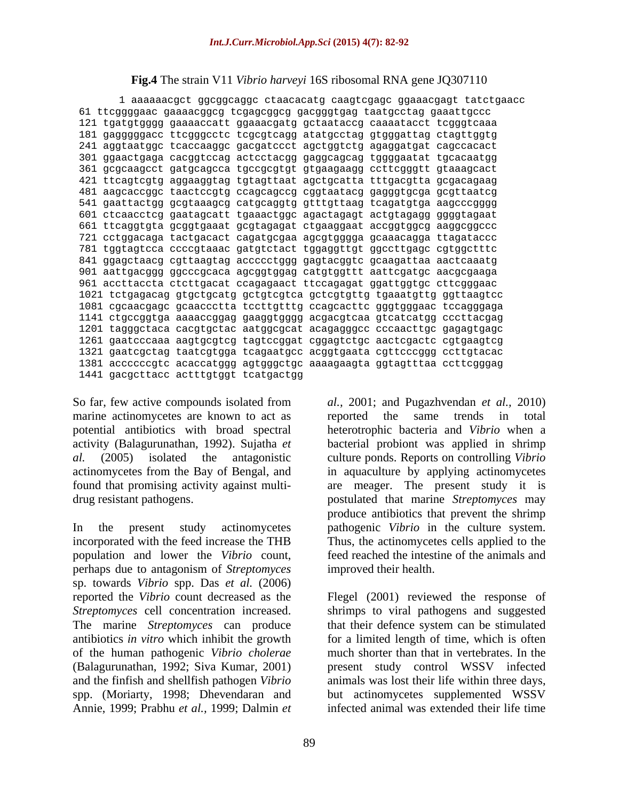## **Fig.4** The strain V11 *Vibrio harveyi* 16S ribosomal RNA gene JQ307110

1 aaaaaacgct ggcggcaggc ctaacacatg caagtcgagc ggaaacgagt tatctgaacc 61 ttcggggaac gaaaacggcg tcgagcggcg gacgggtgag taatgcctag gaaattgccc 121 tgatgtgggg gaaaaccatt ggaaacgatg gctaataccg caaaatacct tcgggtcaaa 181 gagggggacc ttcgggcctc tcgcgtcagg atatgcctag gtgggattag ctagttggtg 241 aggtaatggc tcaccaaggc gacgatccct agctggtctg agaggatgat cagccacact 301 ggaactgaga cacggtccag actcctacgg gaggcagcag tggggaatat tgcacaatgg 361 gcgcaagcct gatgcagcca tgccgcgtgt gtgaagaagg ccttcgggtt gtaaagcact 421 ttcagtcgtg aggaaggtag tgtagttaat agctgcatta tttgacgtta gcgacagaag 481 aagcaccggc taactccgtg ccagcagccg cggtaatacg gagggtgcga gcgttaatcg 541 gaattactgg gcgtaaagcg catgcaggtg gtttgttaag tcagatgtga aagcccgggg 601 ctcaacctcg gaatagcatt tgaaactggc agactagagt actgtagagg ggggtagaat 661 ttcaggtgta gcggtgaaat gcgtagagat ctgaaggaat accggtggcg aaggcggccc 721 cctggacaga tactgacact cagatgcgaa agcgtgggga gcaaacagga ttagataccc 781 tggtagtcca ccccgtaaac gatgtctact tggaggttgt ggccttgagc cgtggctttc 841 ggagctaacg cgttaagtag accccctggg gagtacggtc gcaagattaa aactcaaatg 901 aattgacggg ggcccgcaca agcggtggag catgtggttt aattcgatgc aacgcgaaga 961 accttaccta ctcttgacat ccagagaact ttccagagat ggattggtgc cttcgggaac 1021 tctgagacag gtgctgcatg gctgtcgtca gctcgtgttg tgaaatgttg ggttaagtcc 1081 cgcaacgagc gcaaccctta tccttgtttg ccagcacttc gggtgggaac tccagggaga 1141 ctgccggtga aaaaccggag gaaggtgggg acgacgtcaa gtcatcatgg cccttacgag 1201 tagggctaca cacgtgctac aatggcgcat acagagggcc cccaacttgc gagagtgagc 1261 gaatcccaaa aagtgcgtcg tagtccggat cggagtctgc aactcgactc cgtgaagtcg 1321 gaatcgctag taatcgtgga tcagaatgcc acggtgaata cgttcccggg ccttgtacac 1381 accccccgtc acaccatggg agtgggctgc aaaagaagta ggtagtttaa ccttcgggag 1441 gacgcttacc actttgtggt tcatgactgg

So far, few active compounds isolated from *al.,* 2001; and Pugazhvendan *et al.,* 2010) marine actinomycetes are known to act as a reported the same trends in total

incorporated with the feed increase the THB population and lower the *Vibrio* count, perhaps due to antagonism of *Streptomyces*  sp. towards *Vibrio* spp. Das *et al.* (2006) reported the *Vibrio* count decreased as the Flegel (2001) reviewed the response of *Streptomyces* cell concentration increased. shrimps to viral pathogens and suggested The marine *Streptomyces* can produce that their defence system can be stimulated antibiotics *in vitro* which inhibit the growth for a limited length of time, which is often of the human pathogenic *Vibrio cholerae* much shorter than that in vertebrates. In the (Balagurunathan, 1992; Siva Kumar, 2001) present study control WSSV infected and the finfish and shellfish pathogen *Vibrio*  animals was lost their life within three days, spp. (Moriarty, 1998; Dhevendaran and Annie, 1999; Prabhu *et al.,* 1999; Dalmin *et* 

potential antibiotics with broad spectral heterotrophic bacteria and *Vibrio* when a activity (Balagurunathan, 1992). Sujatha *et*  bacterial probiont was applied in shrimp *al.* (2005) isolated the antagonistic culture ponds. Reports on controlling *Vibrio*  actinomycetes from the Bay of Bengal, and in aquaculture by applying actinomycetes found that promising activity against multi- are meager. The present study it is drug resistant pathogens. postulated that marine *Streptomyces* may In the present study actinomycetes pathogenic *Vibrio* in the culture system. reported the same trends in total produce antibiotics that prevent the shrimp Thus, the actinomycetes cells applied to the feed reached the intestine of the animals and improved their health.

> but actinomycetes supplemented WSSV infected animal was extended their life time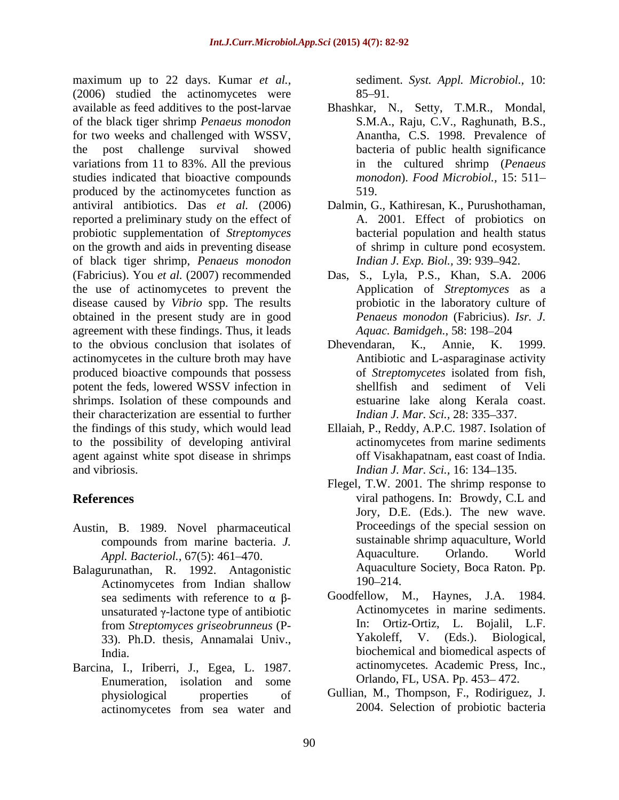maximum up to 22 days. Kumar *et al.,* (2006) studied the actinomycetes were 85–91. available as feed additives to the post-larvae Bhashkar, N., Setty, T.M.R., Mondal, of the black tiger shrimp *Penaeus monodon* for two weeks and challenged with WSSV, the post challenge survival showed bacteria of public health significance variations from 11 to 83%. All the previous studies indicated that bioactive compounds produced by the actinomycetes function as  $519$ . antiviral antibiotics. Das *et al.* (2006) Dalmin, G., Kathiresan, K., Purushothaman, reported a preliminary study on the effect of probiotic supplementation of *Streptomyces*  on the growth and aids in preventing disease of black tiger shrimp, *Penaeus monodon*  (Fabricius). You *et al.* (2007) recommended Das, S., Lyla, P.S., Khan, S.A. 2006 the use of actinomycetes to prevent the disease caused by *Vibrio* spp. The results obtained in the present study are in good agreement with these findings. Thus, it leads to the obvious conclusion that isolates of Dhevendaran, K., Annie, K. 1999. actinomycetes in the culture broth may have produced bioactive compounds that possess of *Streptomycetes* isolated from fish, potent the feds, lowered WSSV infection in shrimps. Isolation of these compounds and their characterization are essential to further the findings of this study, which would lead to the possibility of developing antiviral agent against white spot disease in shrimps and vibriosis. *Indian J. Mar. Sci.,* 16: 134 135.

- Austin, B. 1989. Novel pharmaceutical
- Balagurunathan, R. 1992. Antagonistic Aquacultu<br>Actinomycetes from Indian shallow 190–214. Actinomycetes from Indian shallow 190–214. sea sediments with reference to  $\alpha$   $\beta$ unsaturated  $\gamma$ -lactone type of antibiotic Action<br>from *Streptomyces griseobrunneus* (P<sub>rim</sub> In: 33). Ph.D. thesis, Annamalai Univ.,
- Barcina, I., Iriberri, J., Egea, L. 1987. Enumeration, isolation and some actinomycetes from sea water and

sediment. *Syst. Appl. Microbiol.,* 10:  $85 - 91.$ 

- S.M.A., Raju, C.V., Raghunath, B.S., Anantha, C.S. 1998. Prevalence of in the cultured shrimp (*Penaeus monodon*). *Food Microbiol.,* 15: 511 519.
- A. 2001. Effect of probiotics on bacterial population and health status of shrimp in culture pond ecosystem. *Indian J. Exp. Biol., 39: 939-942.*
- Application of *Streptomyces* as a probiotic in the laboratory culture of *Penaeus monodon* (Fabricius). *Isr. J. Aquac. Bamidgeh.,* 58: 198-204
- Dhevendaran, K., Annie, K.1999. Antibiotic and L-asparaginase activity of *Streptomycetes* isolated from fish, shellfish and sediment of Veli estuarine lake along Kerala coast. *Indian J. Mar. Sci., 28: 335-337.*
- Ellaiah, P., Reddy, A.P.C. 1987. Isolation of actinomycetes from marine sediments off Visakhapatnam, east coast of India.
- **References** viral pathogens. In: Browdy, C.L and compounds from marine bacteria. *J. Appl. Bacteriol.,* 67(5): 461–470. **Aquaculture.** Orlando. World Flegel, T.W. 2001. The shrimp response to Jory, D.E. (Eds.). The new wave. Proceedings of the special session on sustainable shrimp aquaculture, World Aquaculture. Orlando. World Aquaculture Society, Boca Raton. Pp. 190–214.
	- from *Streptomyces griseobrunneus* (P-<br> **11.** Ortiz-Ortiz, L. Bojalil, L.F.<br> **12.** Yakoleff, V. (Eds.). Biological, India. biochemical and biomedical aspects of Goodfellow, M., Haynes, J.A. 1984. Actinomycetes in marine sediments. In: Ortiz-Ortiz, L. Bojalil, L.F. Yakoleff, V. (Eds.). Biological, actinomycetes*.* Academic Press, Inc., Orlando, FL, USA. Pp. 453-472.
	- physiological properties of Gullian, M., Thompson, F., Rodiriguez, J. 2004. Selection of probiotic bacteria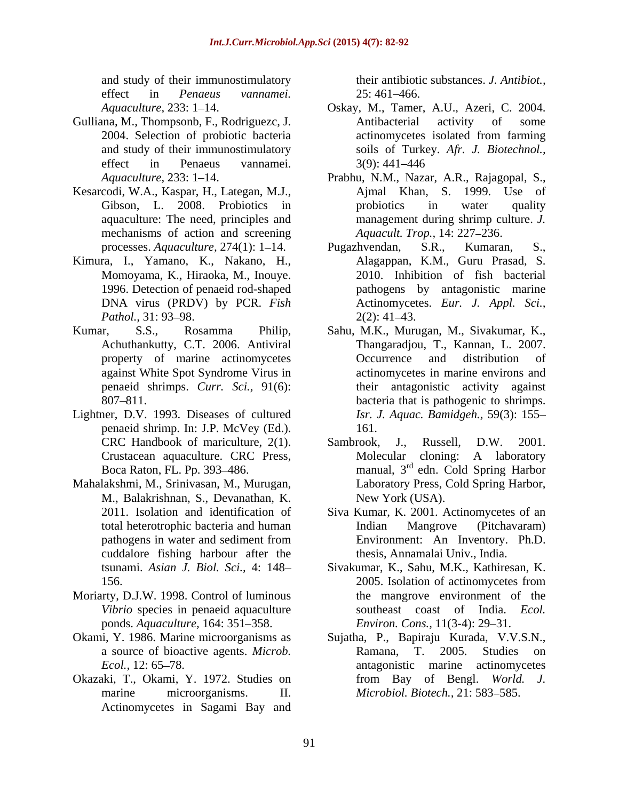and study of their immunostimulatory effect in *Penaeus vannamei.* 

- Gulliana, M., Thompsonb, F., Rodriguezc, J.
- Kesarcodi, W.A., Kaspar, H., Lategan, M.J., mechanisms of action and screening
- Kimura, I., Yamano, K., Nakano, H., Momoyama, K., Hiraoka, M., Inouye.
- 
- Lightner, D.V. 1993. Diseases of cultured penaeid shrimp. In: J.P. McVey (Ed.).
- Mahalakshmi, M., Srinivasan, M., Murugan, M., Balakrishnan, S., Devanathan, K.<br>2011. Isolation and identification of cuddalore fishing harbour after the
- Moriarty, D.J.W. 1998. Control of luminous *Vibrio* species in penaeid aquaculture ponds. *Aquaculture*, 164: 351-358.
- 
- Actinomycetes in Sagami Bay and

their antibiotic substances. *J. Antibiot.,* 25: 461 466.

- Aquaculture, 233: 1–14. **Canadian Company, M., Tamer, A.U., Azeri, C. 2004.** Canadian Company, C. 2004. 2004. Selection of probiotic bacteria actinomycetes isolated from farming and study of their immunostimulatory soilsof Turkey. *Afr. J. Biotechnol.,* effect in Penaeus vannamei. 3(9): 441–446 Antibacterial activity of some actinomycetes isolated from farming 3(9): 441 446
- Aquaculture, 233: 1–14. Prabhu, N.M., Nazar, A.R., Rajagopal, S., Gibson, L. 2008. Probiotics in probiotics in water quality aquaculture: The need, principles and management during shrimp culture. *J.*  Ajmal Khan, S. 1999. Use of probiotics in water quality *Aquacult. Trop., 14: 227-236.*
- processes. *Aquaculture*, 274(1): 1–14. Pugazhvendan, S.R., Kumaran, S., 1996. Detection of penaeid rod-shaped pathogens by antagonistic marine DNA virus (PRDV) by PCR. *Fish*  Actinomycetes. *Eur. J. Appl. Sci., Pathol.*, 31: 93–98. 2(2): 41–43. Pugazhvendan, S.R., Kumaran, S., Alagappan, K.M., Guru Prasad, S. 2010. Inhibition of fish bacterial  $2(2): 41 - 43.$
- Kumar, S.S., Rosamma Philip, Sahu, M.K., Murugan, M., Sivakumar, K., Achuthankutty, C.T. 2006. Antiviral Thangaradjou, T., Kannan, L. 2007. property of marine actinomycetes **C** Occurrence and distribution of against White Spot Syndrome Virus in actinomycetes in marine environs and penaeid shrimps. *Curr. Sci.,* 91(6): their antagonistic activity against 807 811. bacteria that is pathogenic to shrimps. Occurrence and distribution of *Isr. J. Aquac. Bamidgeh.,* 59(3): 155 161.
	- CRC Handbook of mariculture, 2(1). Sambrook, J., Russell, D.W. 2001. Crustacean aquaculture. CRC Press, Molecular cloning: A laboratory Boca Raton, FL. Pp. 393–486. manual, 3<sup>rd</sup> edn. Cold Spring Harbor Sambrook, J., Russell, D.W. 2001. Laboratory Press, Cold Spring Harbor, New York (USA).
	- 2011. Isolation and identification of Siva Kumar, K. 2001. Actinomycetes of an total heterotrophic bacteria and human pathogens in water and sediment from Environment: An Inventory. Ph.D. Indian Mangrove (Pitchavaram) Environment: An Inventory. Ph.D. thesis, Annamalai Univ., India.
	- tsunami. *Asian J. Biol. Sci.,* 4: 148 Sivakumar, K., Sahu, M.K., Kathiresan, K. 156. 2005. Isolation of actinomycetes from 2005. Isolation of actinomycetes from the mangrove environment of the southeast coast of India. *Ecol. Environ. Cons.,* 11(3-4): 29–31.
- Okami, Y. 1986. Marine microorganisms as Sujatha, P., Bapiraju Kurada, V.V.S.N., a source of bioactive agents. *Microb. Ecol.*, 12: 65–78. The antagonistic marine actinomycetes Okazaki, T., Okami, Y. 1972. Studies on from Bay of Bengl. World. J. marine microorganisms. II. *Microbiol. Biotech.*, 21: 583–585. Ramana, T. 2005. Studies on from Bay of Bengl. *World. J.*